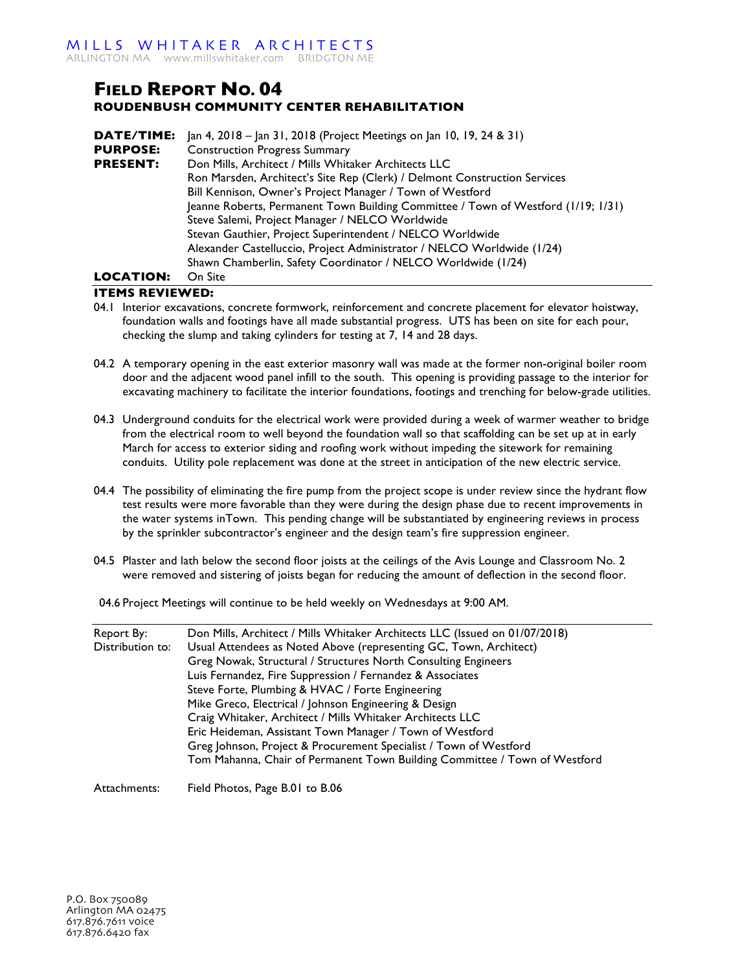## **FIELD REPORT NO. 04 ROUDENBUSH COMMUNITY CENTER REHABILITATION**

| DATE/TIME:       | Jan 4, 2018 – Jan 31, 2018 (Project Meetings on Jan 10, 19, 24 & 31)              |
|------------------|-----------------------------------------------------------------------------------|
| <b>PURPOSE:</b>  | <b>Construction Progress Summary</b>                                              |
| <b>PRESENT:</b>  | Don Mills, Architect / Mills Whitaker Architects LLC                              |
|                  | Ron Marsden, Architect's Site Rep (Clerk) / Delmont Construction Services         |
|                  | Bill Kennison, Owner's Project Manager / Town of Westford                         |
|                  | Jeanne Roberts, Permanent Town Building Committee / Town of Westford (1/19; 1/31) |
|                  | Steve Salemi, Project Manager / NELCO Worldwide                                   |
|                  | Stevan Gauthier, Project Superintendent / NELCO Worldwide                         |
|                  | Alexander Castelluccio, Project Administrator / NELCO Worldwide (1/24)            |
|                  | Shawn Chamberlin, Safety Coordinator / NELCO Worldwide (1/24)                     |
| <b>LOCATION:</b> | On Site                                                                           |

## **ITEMS REVIEWED:**

- 04.1 Interior excavations, concrete formwork, reinforcement and concrete placement for elevator hoistway, foundation walls and footings have all made substantial progress. UTS has been on site for each pour, checking the slump and taking cylinders for testing at 7, 14 and 28 days.
- 04.2 A temporary opening in the east exterior masonry wall was made at the former non-original boiler room door and the adjacent wood panel infill to the south. This opening is providing passage to the interior for excavating machinery to facilitate the interior foundations, footings and trenching for below-grade utilities.
- 04.3 Underground conduits for the electrical work were provided during a week of warmer weather to bridge from the electrical room to well beyond the foundation wall so that scaffolding can be set up at in early March for access to exterior siding and roofing work without impeding the sitework for remaining conduits. Utility pole replacement was done at the street in anticipation of the new electric service.
- 04.4 The possibility of eliminating the fire pump from the project scope is under review since the hydrant flow test results were more favorable than they were during the design phase due to recent improvements in the water systems inTown. This pending change will be substantiated by engineering reviews in process by the sprinkler subcontractor's engineer and the design team's fire suppression engineer.
- 04.5 Plaster and lath below the second floor joists at the ceilings of the Avis Lounge and Classroom No. 2 were removed and sistering of joists began for reducing the amount of deflection in the second floor.
- 04.6 Project Meetings will continue to be held weekly on Wednesdays at 9:00 AM.

| Report By:<br>Distribution to: | Don Mills, Architect / Mills Whitaker Architects LLC (Issued on 01/07/2018)<br>Usual Attendees as Noted Above (representing GC, Town, Architect) |
|--------------------------------|--------------------------------------------------------------------------------------------------------------------------------------------------|
|                                | Greg Nowak, Structural / Structures North Consulting Engineers<br>Luis Fernandez, Fire Suppression / Fernandez & Associates                      |
|                                | Steve Forte, Plumbing & HVAC / Forte Engineering                                                                                                 |
|                                | Mike Greco, Electrical / Johnson Engineering & Design                                                                                            |
|                                | Craig Whitaker, Architect / Mills Whitaker Architects LLC                                                                                        |
|                                | Eric Heideman, Assistant Town Manager / Town of Westford                                                                                         |
|                                | Greg Johnson, Project & Procurement Specialist / Town of Westford                                                                                |
|                                | Tom Mahanna, Chair of Permanent Town Building Committee / Town of Westford                                                                       |
| Attachments:                   | Field Photos, Page B.01 to B.06                                                                                                                  |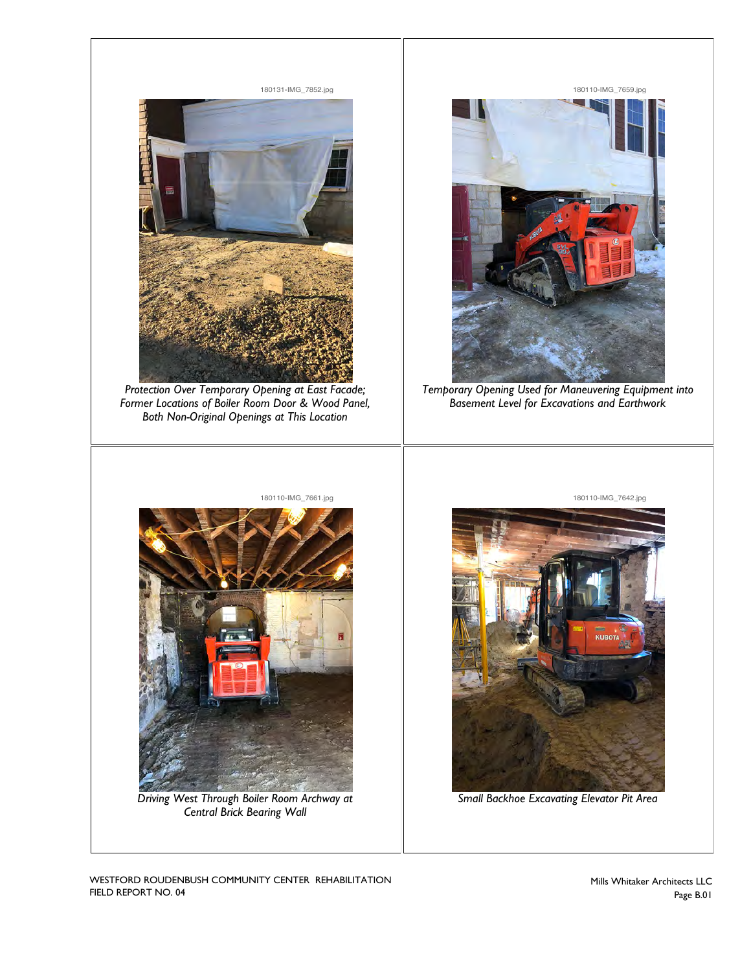

WESTFORD ROUDENBUSH COMMUNITY CENTER REHABILITATION FIELD REPORT NO. 04

Mills Whitaker Architects LLC Page B.01 **Photo ID** *180110-IMG\_7659.jpg*

**Photo ID** *180110-IMG\_7642.jpg*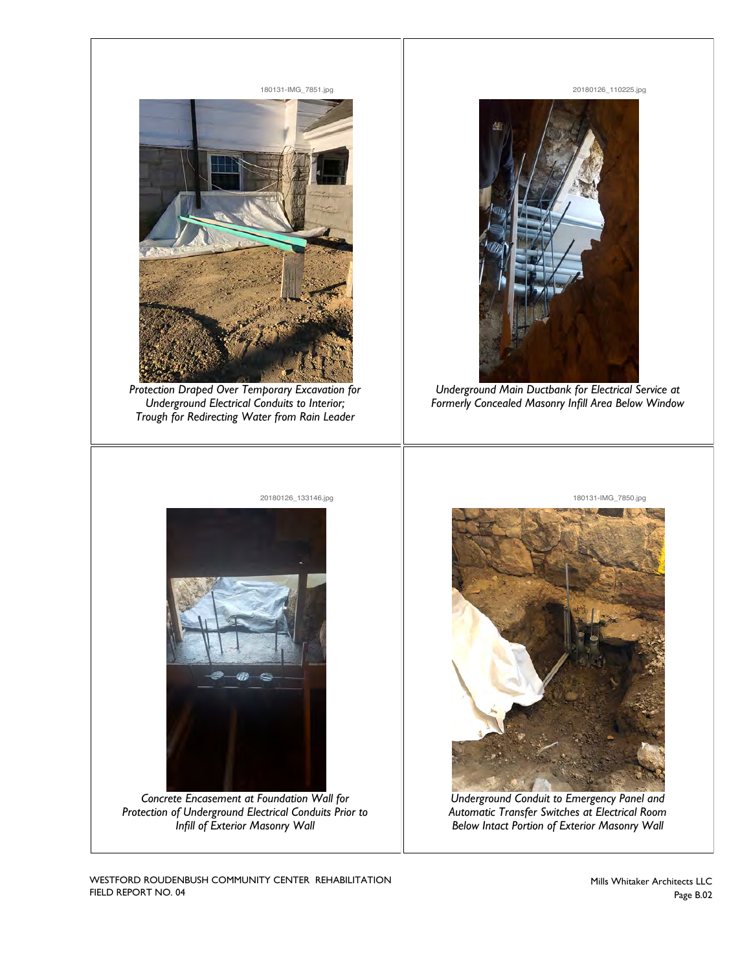

180131-IMG\_7851.jpg

*Protection Draped Over Temporary Excavation for Underground Electrical Conduits to Interior; Trough for Redirecting Water from Rain Leader*

20180126\_133146.jpg



20180126\_110225.jpg

**Photo ID** *20180126\_110225.jpg*

**Photo ID** *180131-IMG\_7850.jpg*

*Underground Main Ductbank for Electrical Service at Formerly Concealed Masonry Infill Area Below Window*

180131-IMG\_7850.jpg



*Concrete Encasement at Foundation Wall for Protection of Underground Electrical Conduits Prior to Infill of Exterior Masonry Wall*



*Underground Conduit to Emergency Panel and Automatic Transfer Switches at Electrical Room Below Intact Portion of Exterior Masonry Wall*

WESTFORD ROUDENBUSH COMMUNITY CENTER REHABILITATION FIELD REPORT NO. 04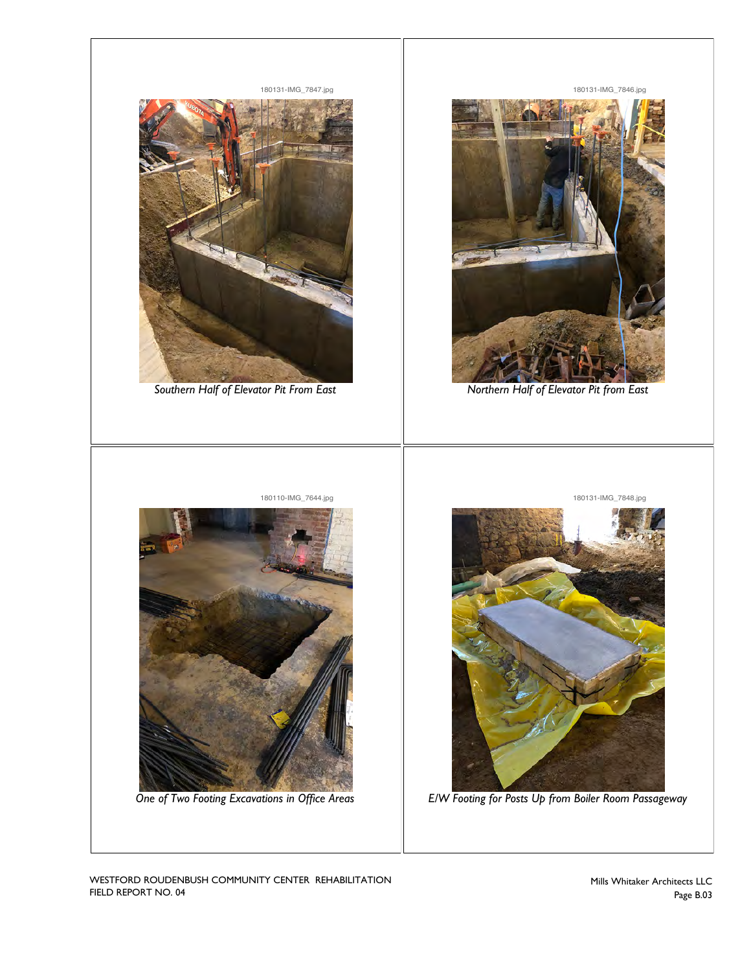

180131-IMG\_7847.jpg

*Southern Half of Elevator Pit From East*

180131-IMG\_7846.jpg

**Photo ID** *180131-IMG\_7846.jpg*

**Photo ID** *180131-IMG\_7848.jpg*



*Northern Half of Elevator Pit from East*



**Photo ID** *180110-IMG\_7644.jpg* 180131-IMG\_7848.jpg

*E/W Footing for Posts Up from Boiler Room Passageway*

WESTFORD ROUDENBUSH COMMUNITY CENTER REHABILITATION FIELD REPORT NO. 04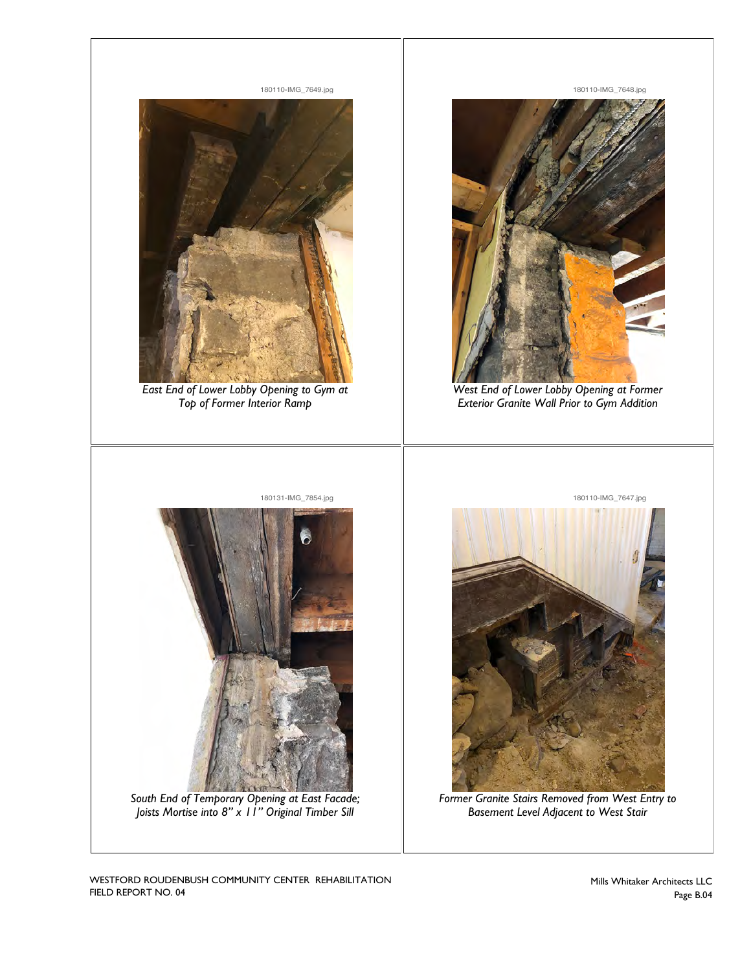

*East End of Lower Lobby Opening to Gym at Top of Former Interior Ramp*

180110-IMG\_7648.jpg

**Photo ID** *180110-IMG\_7648.jpg*

**Photo ID** *180110-IMG\_7647.jpg*



*West End of Lower Lobby Opening at Former Exterior Granite Wall Prior to Gym Addition*



*South End of Temporary Opening at East Facade; Joists Mortise into 8" x 11" Original Timber Sill*



*Former Granite Stairs Removed from West Entry to Basement Level Adjacent to West Stair*

WESTFORD ROUDENBUSH COMMUNITY CENTER REHABILITATION FIELD REPORT NO. 04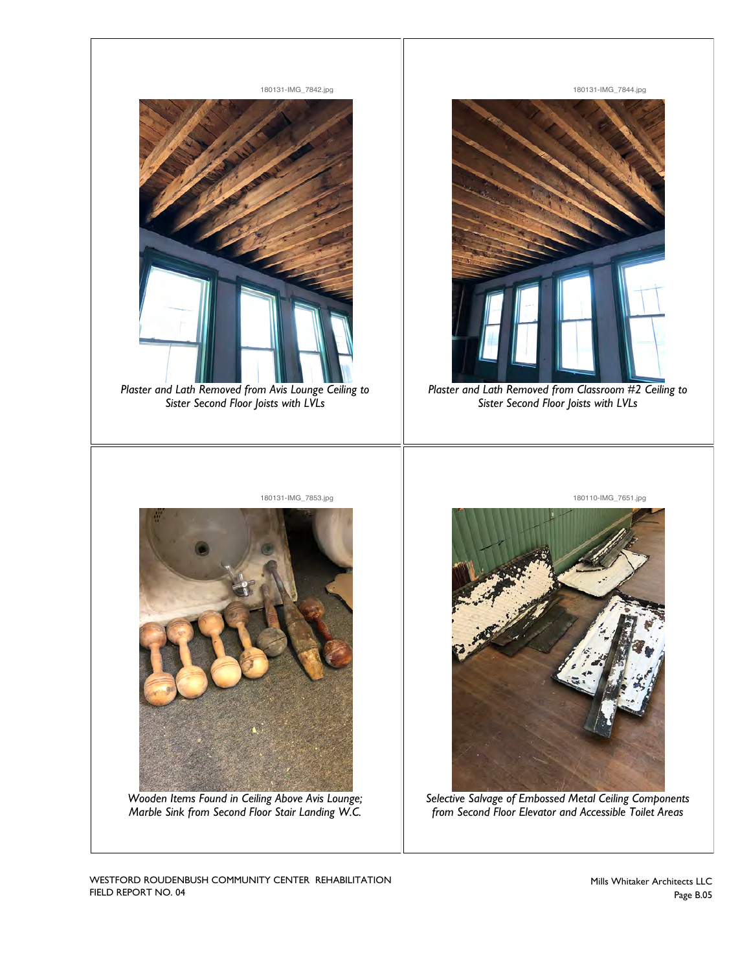

WESTFORD ROUDENBUSH COMMUNITY CENTER REHABILITATION FIELD REPORT NO. 04